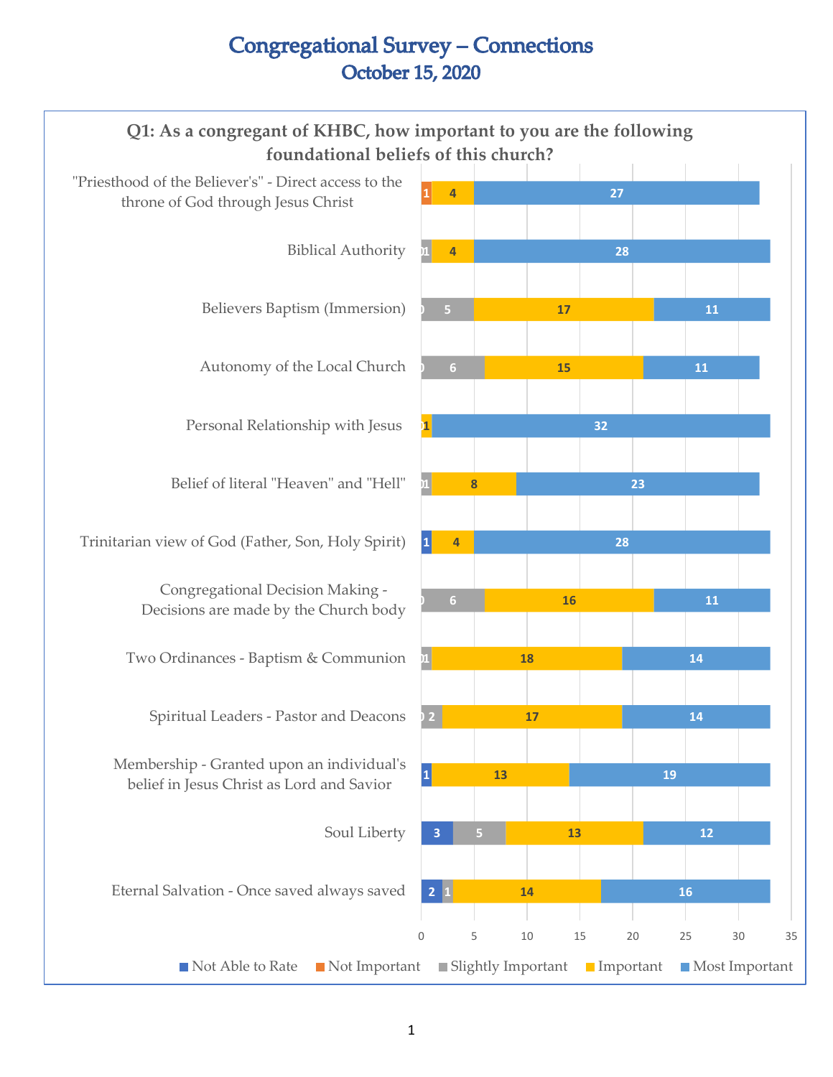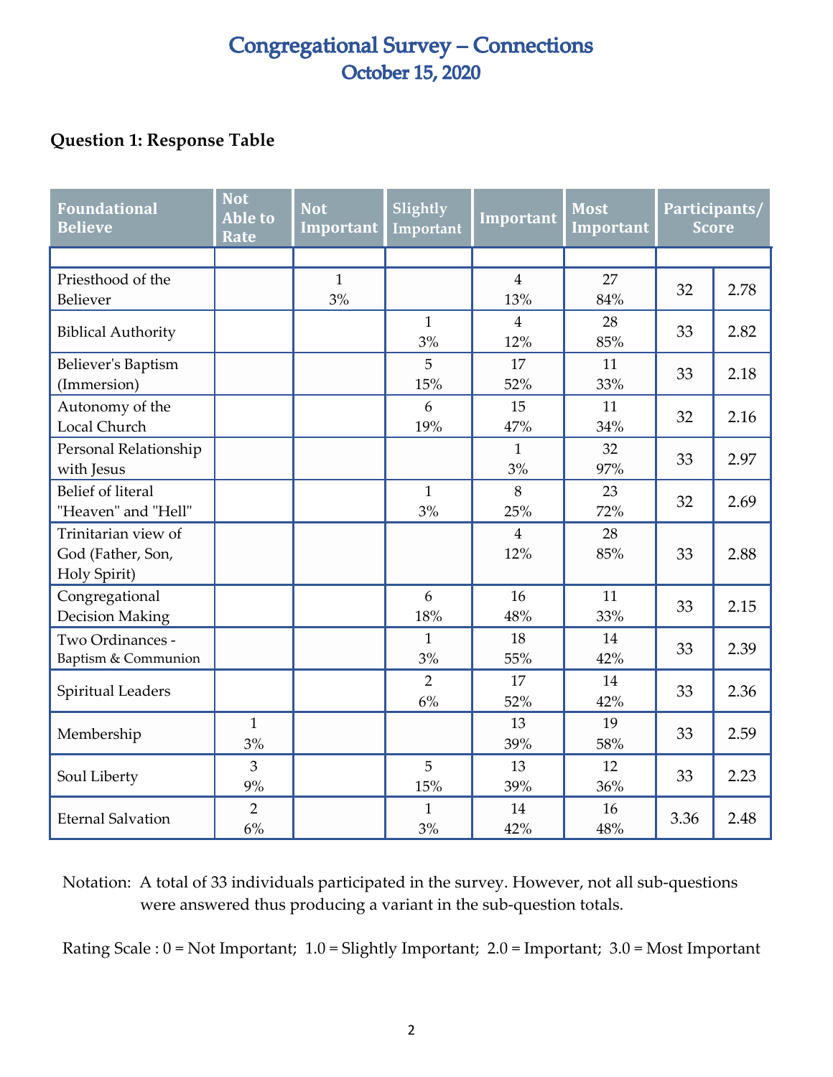#### **Question 1: Response Table**

| <b>Foundational</b><br><b>Believe</b>                    | <b>Not</b><br><b>Able to</b><br>Rate | <b>Not</b><br>Important | Slightly<br>Important | Important             | <b>Most</b><br>Important | Participants/<br><b>Score</b> |      |
|----------------------------------------------------------|--------------------------------------|-------------------------|-----------------------|-----------------------|--------------------------|-------------------------------|------|
|                                                          |                                      |                         |                       |                       |                          |                               |      |
| Priesthood of the<br>Believer                            |                                      | $\mathbf{1}$<br>3%      |                       | $\overline{4}$<br>13% | 27<br>84%                | 32                            | 2.78 |
| <b>Biblical Authority</b>                                |                                      |                         | $\mathbf{1}$<br>3%    | 4<br>12%              | 28<br>85%                | 33                            | 2.82 |
| Believer's Baptism<br>(Immersion)                        |                                      |                         | 5<br>15%              | 17<br>52%             | 11<br>33%                | 33                            | 2.18 |
| Autonomy of the<br>Local Church                          |                                      |                         | 6<br>19%              | 15<br>47%             | 11<br>34%                | 32                            | 2.16 |
| Personal Relationship<br>with Jesus                      |                                      |                         |                       | $\mathbf{1}$<br>3%    | 32<br>97%                | 33                            | 2.97 |
| <b>Belief of literal</b><br>"Heaven" and "Hell"          |                                      |                         | $\mathbf{1}$<br>3%    | 8<br>25%              | 23<br>72%                | 32                            | 2.69 |
| Trinitarian view of<br>God (Father, Son,<br>Holy Spirit) |                                      |                         |                       | $\overline{4}$<br>12% | 28<br>85%                | 33                            | 2.88 |
| Congregational<br><b>Decision Making</b>                 |                                      |                         | 6<br>18%              | 16<br>48%             | 11<br>33%                | 33                            | 2.15 |
| Two Ordinances -<br>Baptism & Communion                  |                                      |                         | $\mathbf{1}$<br>3%    | 18<br>55%             | 14<br>42%                | 33                            | 2.39 |
| Spiritual Leaders                                        |                                      |                         | $\overline{2}$<br>6%  | 17<br>52%             | 14<br>42%                | 33                            | 2.36 |
| Membership                                               | $\mathbf{1}$<br>3%                   |                         |                       | 13<br>39%             | 19<br>58%                | 33                            | 2.59 |
| Soul Liberty                                             | 3<br>9%                              |                         | 5<br>15%              | 13<br>39%             | 12<br>36%                | 33                            | 2.23 |
| <b>Eternal Salvation</b>                                 | $\overline{2}$<br>6%                 |                         | $\mathbf{1}$<br>3%    | 14<br>42%             | 16<br>48%                | 3.36                          | 2.48 |

Notation: A total of 33 individuals participated in the survey. However, not all sub-questions were answered thus producing a variant in the sub-question totals.

Rating Scale : 0 = Not Important; 1.0 = Slightly Important; 2.0 = Important; 3.0 = Most Important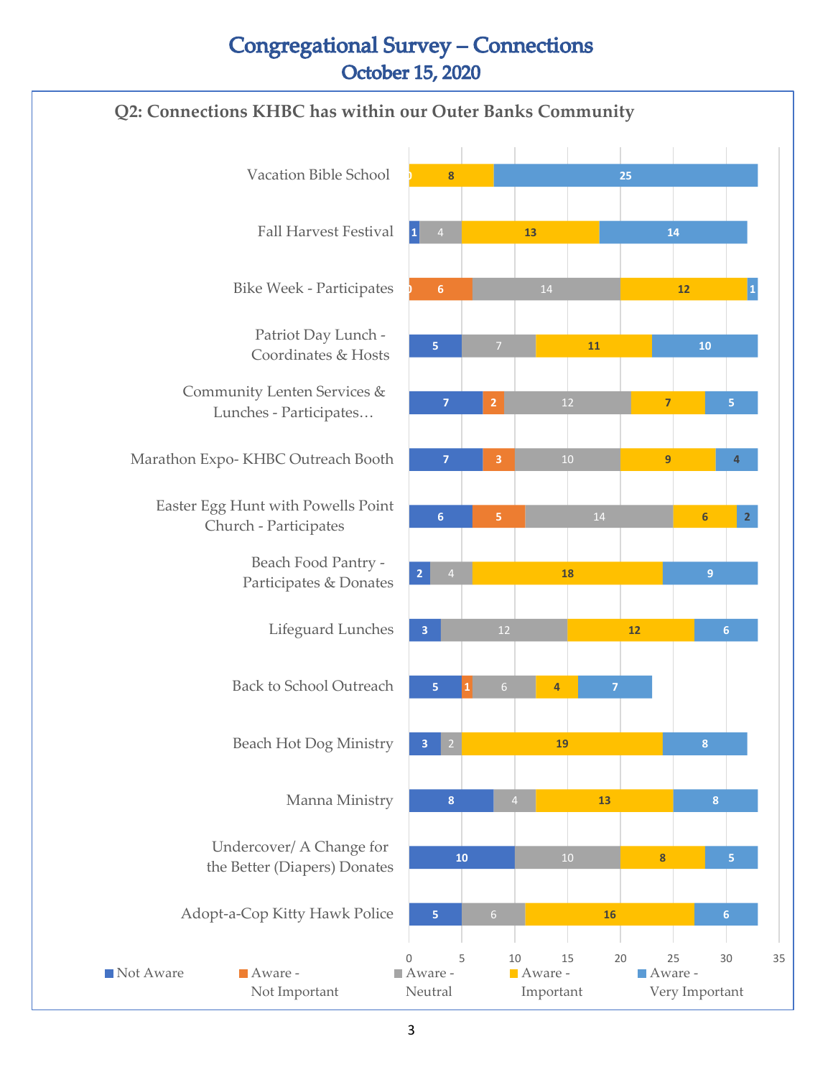#### **Q2: Connections KHBC has within our Outer Banks Community**

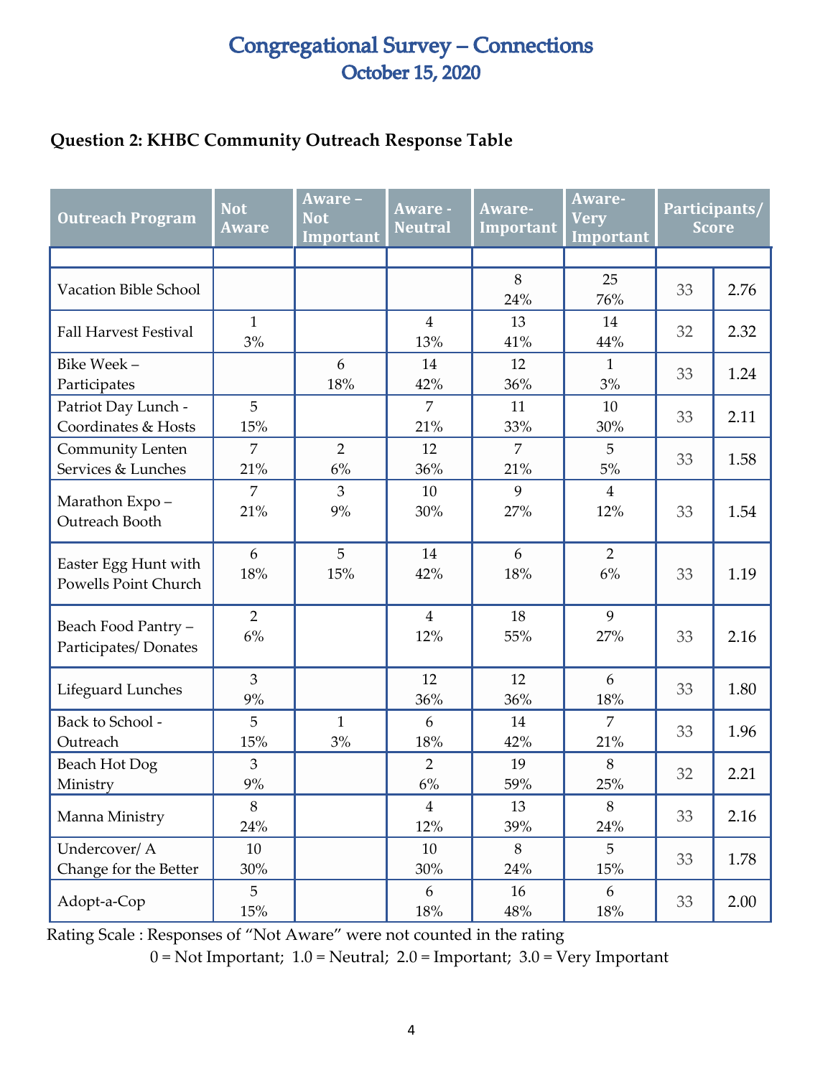#### **Question 2: KHBC Community Outreach Response Table**

| <b>Outreach Program</b>                             | <b>Not</b><br><b>Aware</b> | Aware -<br><b>Not</b><br>Important | Aware -<br><b>Neutral</b> | Aware-<br><b>Important</b> | Aware-<br><b>Very</b><br>Important |    | Participants/<br><b>Score</b> |
|-----------------------------------------------------|----------------------------|------------------------------------|---------------------------|----------------------------|------------------------------------|----|-------------------------------|
|                                                     |                            |                                    |                           |                            |                                    |    |                               |
| Vacation Bible School                               |                            |                                    |                           | 8<br>24%                   | 25<br>76%                          | 33 | 2.76                          |
| <b>Fall Harvest Festival</b>                        | $\mathbf{1}$<br>3%         |                                    | $\overline{4}$<br>13%     | 13<br>41%                  | 14<br>44%                          | 32 | 2.32                          |
| Bike Week-<br>Participates                          |                            | 6<br>18%                           | 14<br>42%                 | 12<br>36%                  | $\mathbf{1}$<br>3%                 | 33 | 1.24                          |
| Patriot Day Lunch -<br>Coordinates & Hosts          | 5<br>15%                   |                                    | $\overline{7}$<br>21%     | 11<br>33%                  | 10<br>30%                          | 33 | 2.11                          |
| Community Lenten<br>Services & Lunches              | 7<br>21%                   | $\overline{2}$<br>6%               | 12<br>36%                 | 7<br>21%                   | 5<br>5%                            | 33 | 1.58                          |
| Marathon Expo-<br>Outreach Booth                    | $\overline{7}$<br>21%      | 3<br>9%                            | 10<br>30%                 | 9<br>27%                   | $\overline{4}$<br>12%              | 33 | 1.54                          |
| Easter Egg Hunt with<br><b>Powells Point Church</b> | 6<br>18%                   | 5<br>15%                           | 14<br>42%                 | 6<br>18%                   | $\overline{2}$<br>6%               | 33 | 1.19                          |
| Beach Food Pantry -<br>Participates/Donates         | $\overline{2}$<br>6%       |                                    | $\overline{4}$<br>12%     | 18<br>55%                  | 9<br>27%                           | 33 | 2.16                          |
| Lifeguard Lunches                                   | $\overline{3}$<br>9%       |                                    | 12<br>36%                 | 12<br>36%                  | 6<br>18%                           | 33 | 1.80                          |
| Back to School -<br>Outreach                        | 5<br>15%                   | $\mathbf{1}$<br>$3%$               | 6<br>18%                  | 14<br>42%                  | $\overline{7}$<br>21%              | 33 | 1.96                          |
| <b>Beach Hot Dog</b><br>Ministry                    | $\overline{3}$<br>9%       |                                    | $\overline{2}$<br>6%      | 19<br>59%                  | 8<br>25%                           | 32 | 2.21                          |
| Manna Ministry                                      | 8<br>24%                   |                                    | $\overline{4}$<br>12%     | 13<br>39%                  | $8\,$<br>24%                       | 33 | 2.16                          |
| Undercover/ A<br>Change for the Better              | 10<br>30%                  |                                    | 10<br>30%                 | 8<br>24%                   | 5<br>$15\%$                        | 33 | 1.78                          |
| Adopt-a-Cop                                         | 5<br>15%                   |                                    | 6<br>18%                  | 16<br>48%                  | 6<br>$18\%$                        | 33 | 2.00                          |

Rating Scale : Responses of "Not Aware" were not counted in the rating

 $0 = Not Important; 1.0 = Neutral; 2.0 = Important; 3.0 = Very Important$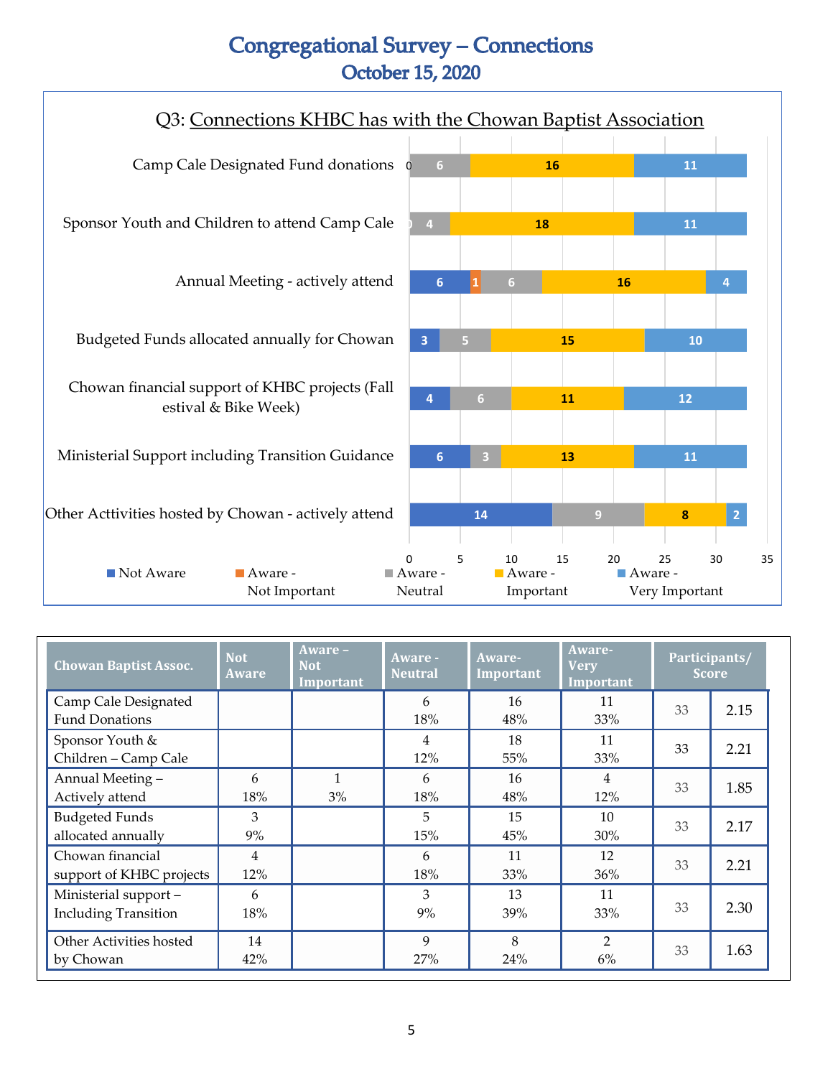

| <b>Chowan Baptist Assoc.</b>                        | <b>Not</b><br><b>Aware</b> | Aware -<br><b>Not</b><br>Important | <b>Aware -</b><br><b>Neutral</b> | Aware-<br>Important | Aware-<br><b>Very</b><br>Important | Participants/<br><b>Score</b> |      |
|-----------------------------------------------------|----------------------------|------------------------------------|----------------------------------|---------------------|------------------------------------|-------------------------------|------|
| Camp Cale Designated<br><b>Fund Donations</b>       |                            |                                    | 6<br>18%                         | 16<br>48%           | 11<br>33%                          | 33                            | 2.15 |
| Sponsor Youth &<br>Children - Camp Cale             |                            |                                    | $\overline{4}$<br>12%            | 18<br>55%           | 11<br>33%                          | 33                            | 2.21 |
| Annual Meeting -<br>Actively attend                 | 6<br>18%                   | $\mathbf{1}$<br>3%                 | 6<br>18%                         | 16<br>48%           | 4<br>12%                           | 33                            | 1.85 |
| <b>Budgeted Funds</b><br>allocated annually         | 3<br>9%                    |                                    | 5<br>15%                         | 15<br>45%           | 10<br>30%                          | 33                            | 2.17 |
| Chowan financial<br>support of KHBC projects        | 4<br>12%                   |                                    | 6<br>18%                         | 11<br>33%           | 12<br>36%                          | 33                            | 2.21 |
| Ministerial support-<br><b>Including Transition</b> | 6<br>18%                   |                                    | 3<br>9%                          | 13<br>39%           | 11<br>33%                          | 33                            | 2.30 |
| Other Activities hosted<br>by Chowan                | 14<br>42%                  |                                    | 9<br>27%                         | 8<br>24%            | $\overline{2}$<br>6%               | 33                            | 1.63 |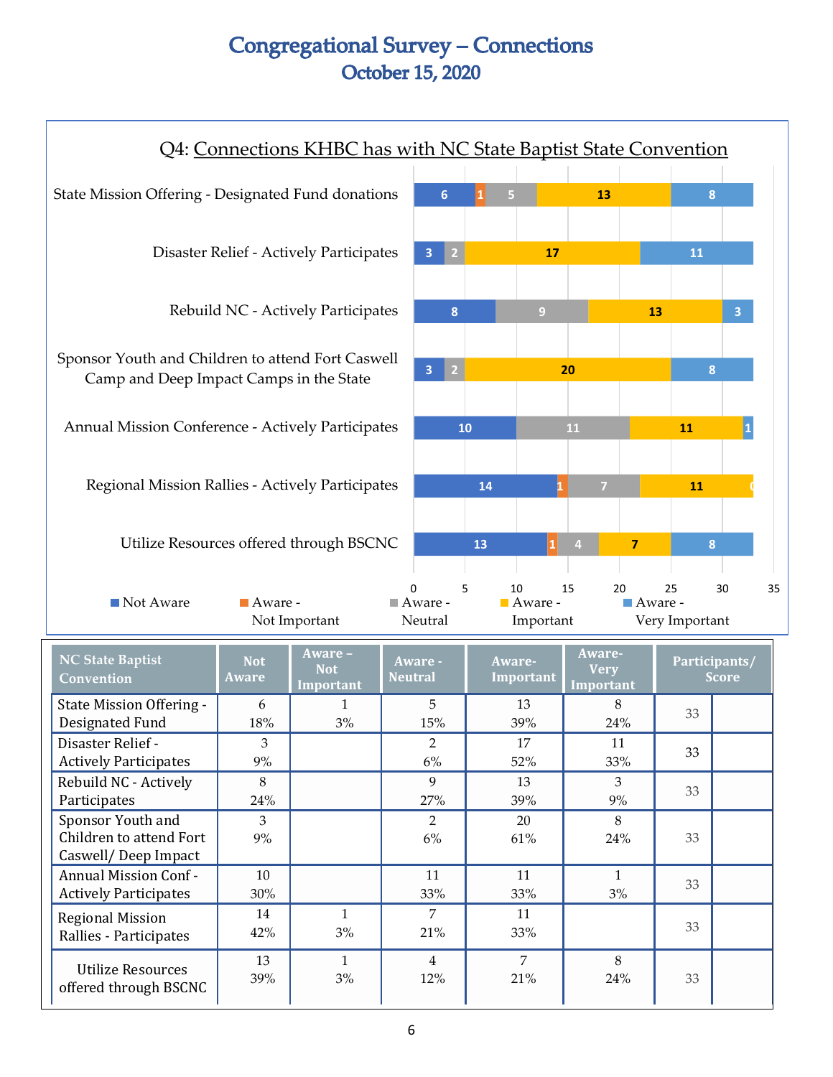| Q4: Connections KHBC has with NC State Baptist State Convention                              |                                             |    |                                  |                              |                            |                         |
|----------------------------------------------------------------------------------------------|---------------------------------------------|----|----------------------------------|------------------------------|----------------------------|-------------------------|
| State Mission Offering - Designated Fund donations                                           |                                             | 5  |                                  | 13                           | 8                          |                         |
| Disaster Relief - Actively Participates                                                      | $\overline{3}$<br>2 <sup>1</sup>            |    | 17                               |                              | 11                         |                         |
| Rebuild NC - Actively Participates                                                           | 8                                           |    | $\overline{9}$                   | 13                           |                            | $\overline{3}$          |
| Sponsor Youth and Children to attend Fort Caswell<br>Camp and Deep Impact Camps in the State |                                             |    | 20                               |                              | 8                          |                         |
| Annual Mission Conference - Actively Participates                                            | 10                                          |    | 11                               |                              | 11                         | $\overline{\mathbf{1}}$ |
| Regional Mission Rallies - Actively Participates                                             |                                             | 14 |                                  | 7                            | 11                         |                         |
| Utilize Resources offered through BSCNC                                                      |                                             | 13 |                                  | $\overline{7}$               | 8                          |                         |
| Not Aware<br>$\blacksquare$ Aware -<br>Not Important                                         | 5<br>U<br>$\blacksquare$ Aware -<br>Neutral |    | 10<br>15<br>Aware -<br>Important | 20<br>$\blacksquare$ Aware - | 25<br>30<br>Very Important | 35                      |

| <b>NC State Baptist</b><br>Convention                               | <b>Not</b><br><b>Aware</b> | Aware -<br><b>Not</b><br>Important | Aware -<br><b>Neutral</b> | Aware-<br>Important | Aware-<br><b>Very</b><br>Important | Participants/<br><b>Score</b> |  |
|---------------------------------------------------------------------|----------------------------|------------------------------------|---------------------------|---------------------|------------------------------------|-------------------------------|--|
| <b>State Mission Offering -</b><br>Designated Fund                  | 6<br>18%                   | 3%                                 | 5<br>15%                  | 13<br>39%           | 8<br>24%                           | 33                            |  |
| Disaster Relief -<br><b>Actively Participates</b>                   | 3<br>9%                    |                                    | 2<br>6%                   | 17<br>52%           | 11<br>33%                          | 33                            |  |
| Rebuild NC - Actively<br>Participates                               | 8<br>24%                   |                                    | 9<br>27%                  | 13<br>39%           | 3<br>9%                            | 33                            |  |
| Sponsor Youth and<br>Children to attend Fort<br>Caswell/Deep Impact | 3<br>9%                    |                                    | $\overline{2}$<br>6%      | 20<br>61%           | 8<br>24%                           | 33                            |  |
| <b>Annual Mission Conf-</b><br><b>Actively Participates</b>         | 10<br>30%                  |                                    | 11<br>33%                 | 11<br>33%           | 1<br>3%                            | 33                            |  |
| <b>Regional Mission</b><br>Rallies - Participates                   | 14<br>42%                  | 1<br>3%                            | 7<br>21%                  | 11<br>33%           |                                    | 33                            |  |
| <b>Utilize Resources</b><br>offered through BSCNC                   | 13<br>39%                  | 1<br>3%                            | 4<br>12%                  | 7<br>21%            | 8<br>24%                           | 33                            |  |